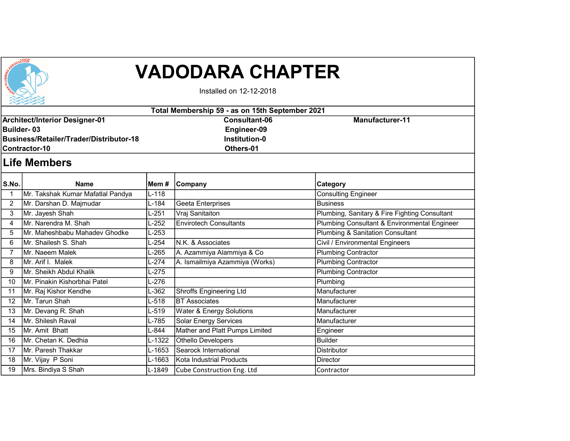

## VADODARA CHAPTER

Installed on 12-12-2018

| Total Membership 59 - as on 15th September 2021 |                                   |         |                                |                                               |  |  |  |  |  |
|-------------------------------------------------|-----------------------------------|---------|--------------------------------|-----------------------------------------------|--|--|--|--|--|
| <b>Architect/Interior Designer-01</b>           |                                   |         | <b>Consultant-06</b>           | <b>Manufacturer-11</b>                        |  |  |  |  |  |
| Builder-03                                      |                                   |         | Engineer-09                    |                                               |  |  |  |  |  |
| <b>Business/Retailer/Trader/Distributor-18</b>  |                                   |         | <b>Institution-0</b>           |                                               |  |  |  |  |  |
|                                                 | Contractor-10                     |         | Others-01                      |                                               |  |  |  |  |  |
| <b>Life Members</b>                             |                                   |         |                                |                                               |  |  |  |  |  |
| S.No.                                           | <b>Name</b>                       | Mem #   | <b>Company</b>                 | Category                                      |  |  |  |  |  |
| $\mathbf{1}$                                    | Mr. Takshak Kumar Mafatlal Pandya | $L-118$ |                                | <b>Consulting Engineer</b>                    |  |  |  |  |  |
| $\overline{2}$                                  | Mr. Darshan D. Majmudar           | L-184   | Geeta Enterprises              | <b>Business</b>                               |  |  |  |  |  |
| 3                                               | Mr. Jayesh Shah                   | L-251   | Vraj Sanitaiton                | Plumbing, Sanitary & Fire Fighting Consultant |  |  |  |  |  |
| 4                                               | Mr. Narendra M. Shah              | L-252   | <b>Envirotech Consultants</b>  | Plumbing Consultant & Environmental Engineer  |  |  |  |  |  |
| 5                                               | IMr. Maheshbabu Mahadev Ghodke    | $L-253$ |                                | <b>Plumbing &amp; Sanitation Consultant</b>   |  |  |  |  |  |
| 6                                               | IMr. Shailesh S. Shah             | L-254   | IN.K. & Associates             | Civil / Environmental Engineers               |  |  |  |  |  |
| $\overline{7}$                                  | İMr. Naeem Malek                  | L-265   | A. Azammiya Alammiya & Co      | <b>Plumbing Contractor</b>                    |  |  |  |  |  |
| 8                                               | Mr. Arif I. Malek                 | $L-274$ | A. Ismailmiya Azammiya (Works) | Plumbing Contractor                           |  |  |  |  |  |
| 9                                               | Mr. Sheikh Abdul Khalik           | L-275   |                                | <b>Plumbing Contractor</b>                    |  |  |  |  |  |
| 10                                              | Mr. Pinakin Kishorbhai Patel      | L-276   |                                | Plumbing                                      |  |  |  |  |  |
| 11                                              | Mr. Raj Kishor Kendhe             | L-362   | <b>Shroffs Engineering Ltd</b> | Manufacturer                                  |  |  |  |  |  |
| 12                                              | Mr. Tarun Shah                    | $L-518$ | <b>BT</b> Associates           | Manufacturer                                  |  |  |  |  |  |
| 13                                              | Mr. Devang R. Shah                | L-519   | Water & Energy Solutions       | Manufacturer                                  |  |  |  |  |  |
| 14                                              | Mr. Shilesh Raval                 | L-785   | <b>Solar Energy Services</b>   | Manufacturer                                  |  |  |  |  |  |
| 15                                              | Mr. Amit Bhatt                    | L-844   | Mather and Platt Pumps Limited | Engineer                                      |  |  |  |  |  |
| 16                                              | Mr. Chetan K. Dedhia              | L-1322  | Othello Developers             | <b>Builder</b>                                |  |  |  |  |  |
| 17                                              | IMr. Paresh Thakkar               | L-1653  | Searock International          | <b>Distributor</b>                            |  |  |  |  |  |
| 18                                              | Mr. Vijay P Soni                  | L-1663  | Kota Industrial Products       | <b>Director</b>                               |  |  |  |  |  |
| 19                                              | Mrs. Bindiya S Shah               | L-1849  | Cube Construction Eng. Ltd     | Contractor                                    |  |  |  |  |  |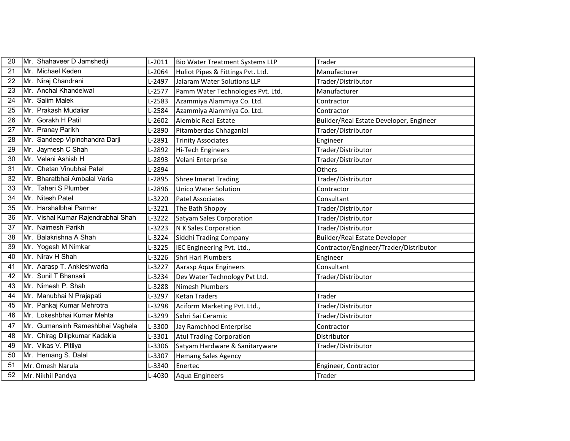| 20 | Mr. Shahaveer D Jamshedji          | $L-2011$ | Bio Water Treatment Systems LLP   | Trader                                  |
|----|------------------------------------|----------|-----------------------------------|-----------------------------------------|
| 21 | Mr. Michael Keden                  | L-2064   | Huliot Pipes & Fittings Pvt. Ltd. | Manufacturer                            |
| 22 | Mr. Niraj Chandrani                | L-2497   | Jalaram Water Solutions LLP       | Trader/Distributor                      |
| 23 | Mr. Anchal Khandelwal              | L-2577   | Pamm Water Technologies Pvt. Ltd. | Manufacturer                            |
| 24 | Mr. Salim Malek                    | L-2583   | Azammiya Alammiya Co. Ltd.        | Contractor                              |
| 25 | Mr. Prakash Mudaliar               | L-2584   | Azammiya Alammiya Co. Ltd.        | Contractor                              |
| 26 | Mr. Gorakh H Patil                 | L-2602   | Alembic Real Estate               | Builder/Real Estate Developer, Engineer |
| 27 | Mr. Pranay Parikh                  | L-2890   | Pitamberdas Chhaganlal            | Trader/Distributor                      |
| 28 | Mr. Sandeep Vipinchandra Darji     | L-2891   | <b>Trinity Associates</b>         | Engineer                                |
| 29 | Mr. Jaymesh C Shah                 | L-2892   | Hi-Tech Engineers                 | Trader/Distributor                      |
| 30 | Mr. Velani Ashish H                | L-2893   | Velani Enterprise                 | Trader/Distributor                      |
| 31 | Mr. Chetan Vinubhai Patel          | L-2894   |                                   | Others                                  |
| 32 | Mr. Bharatbhai Ambalal Varia       | L-2895   | Shree Imarat Trading              | Trader/Distributor                      |
| 33 | Mr. Taheri S Plumber               | L-2896   | <b>Unico Water Solution</b>       | Contractor                              |
| 34 | Mr. Nitesh Patel                   | L-3220   | Patel Associates                  | Consultant                              |
| 35 | Mr. Harshalbhai Parmar             | L-3221   | The Bath Shoppy                   | Trader/Distributor                      |
| 36 | Mr. Vishal Kumar Rajendrabhai Shah | $L-3222$ | Satyam Sales Corporation          | Trader/Distributor                      |
| 37 | Mr. Naimesh Parikh                 | L-3223   | N K Sales Corporation             | Trader/Distributor                      |
| 38 | Mr. Balakrishna A Shah             | L-3224   | Siddhi Trading Company            | <b>Builder/Real Estate Developer</b>    |
| 39 | Mr. Yogesh M Nimkar                | L-3225   | IEC Engineering Pvt. Ltd.,        | Contractor/Engineer/Trader/Distributor  |
| 40 | Mr. Nirav H Shah                   | L-3226   | Shri Hari Plumbers                | Engineer                                |
| 41 | Mr. Aarasp T. Ankleshwaria         | L-3227   | Aarasp Aqua Engineers             | Consultant                              |
| 42 | Mr. Sunil T Bhansali               | L-3234   | Dev Water Technology Pvt Ltd.     | Trader/Distributor                      |
| 43 | Mr. Nimesh P. Shah                 | L-3288   | Nimesh Plumbers                   |                                         |
| 44 | Mr. Manubhai N Prajapati           | L-3297   | Ketan Traders                     | Trader                                  |
| 45 | Mr. Pankaj Kumar Mehrotra          | L-3298   | Aciform Marketing Pvt. Ltd.,      | Trader/Distributor                      |
| 46 | Mr. Lokeshbhai Kumar Mehta         | L-3299   | Sxhri Sai Ceramic                 | Trader/Distributor                      |
| 47 | Mr. Gumansinh Rameshbhai Vaghela   | L-3300   | Jay Ramchhod Enterprise           | Contractor                              |
| 48 | Mr. Chirag Dilipkumar Kadakia      | L-3301   | Atul Trading Corporation          | Distributor                             |
| 49 | Mr. Vikas V. Pitliya               | L-3306   | Satyam Hardware & Sanitaryware    | Trader/Distributor                      |
| 50 | Mr. Hemang S. Dalal                | L-3307   | Hemang Sales Agency               |                                         |
| 51 | Mr. Omesh Narula                   | L-3340   | Enertec                           | Engineer, Contractor                    |
| 52 | Mr. Nikhil Pandya                  | L-4030   | Aqua Engineers                    | Trader                                  |